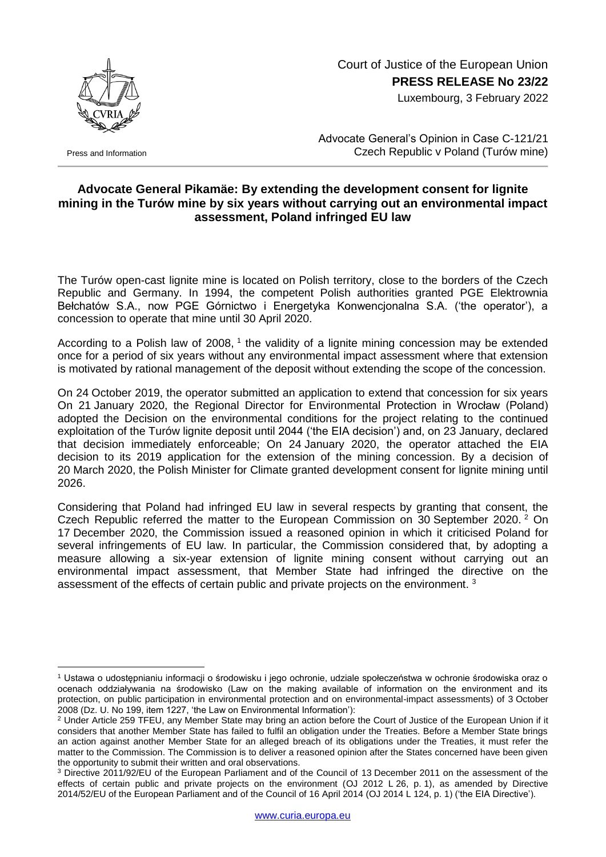

Press and Information

1

## Court of Justice of the European Union **PRESS RELEASE No 23/22**

Luxembourg, 3 February 2022

Advocate General's Opinion in Case C-121/21 Czech Republic v Poland (Turów mine)

## **Advocate General Pikamäe: By extending the development consent for lignite mining in the Turów mine by six years without carrying out an environmental impact assessment, Poland infringed EU law**

The Turów open-cast lignite mine is located on Polish territory, close to the borders of the Czech Republic and Germany. In 1994, the competent Polish authorities granted PGE Elektrownia Bełchatów S.A., now PGE Górnictwo i Energetyka Konwencjonalna S.A. ('the operator'), a concession to operate that mine until 30 April 2020.

According to a Polish law of 2008, <sup>1</sup> the validity of a lignite mining concession may be extended once for a period of six years without any environmental impact assessment where that extension is motivated by rational management of the deposit without extending the scope of the concession.

On 24 October 2019, the operator submitted an application to extend that concession for six years On 21 January 2020, the Regional Director for Environmental Protection in Wrocław (Poland) adopted the Decision on the environmental conditions for the project relating to the continued exploitation of the Turów lignite deposit until 2044 ('the EIA decision') and, on 23 January, declared that decision immediately enforceable; On 24 January 2020, the operator attached the EIA decision to its 2019 application for the extension of the mining concession. By a decision of 20 March 2020, the Polish Minister for Climate granted development consent for lignite mining until 2026.

Considering that Poland had infringed EU law in several respects by granting that consent, the Czech Republic referred the matter to the European Commission on 30 September 2020. <sup>2</sup> On 17 December 2020, the Commission issued a reasoned opinion in which it criticised Poland for several infringements of EU law. In particular, the Commission considered that, by adopting a measure allowing a six-year extension of lignite mining consent without carrying out an environmental impact assessment, that Member State had infringed the directive on the assessment of the effects of certain public and private projects on the environment.<sup>3</sup>

<sup>1</sup> Ustawa o udostępnianiu informacji o środowisku i jego ochronie, udziale społeczeństwa w ochronie środowiska oraz o ocenach oddziaływania na środowisko (Law on the making available of information on the environment and its protection, on public participation in environmental protection and on environmental-impact assessments) of 3 October 2008 (Dz. U. No 199, item 1227, 'the Law on Environmental Information'):

<sup>&</sup>lt;sup>2</sup> Under Article 259 TFEU, any Member State may bring an action before the Court of Justice of the European Union if it considers that another Member State has failed to fulfil an obligation under the Treaties. Before a Member State brings an action against another Member State for an alleged breach of its obligations under the Treaties, it must refer the matter to the Commission. The Commission is to deliver a reasoned opinion after the States concerned have been given the opportunity to submit their written and oral observations.

<sup>3</sup> Directive 2011/92/EU of the European Parliament and of the Council of 13 December 2011 on the assessment of the effects of certain public and private projects on the environment (OJ 2012 L 26, p. 1), as amended by Directive 2014/52/EU of the European Parliament and of the Council of 16 April 2014 (OJ 2014 L 124, p. 1) ('the EIA Directive').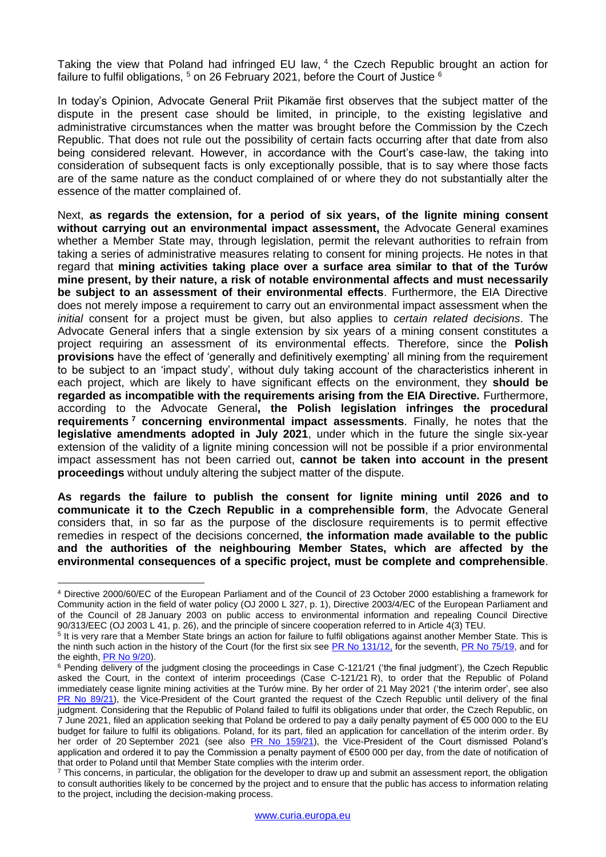Taking the view that Poland had infringed EU law, 4 the Czech Republic brought an action for failure to fulfil obligations,  $5$  on 26 February 2021, before the Court of Justice  $6$ 

In today's Opinion, Advocate General Priit Pikamäe first observes that the subject matter of the dispute in the present case should be limited, in principle, to the existing legislative and administrative circumstances when the matter was brought before the Commission by the Czech Republic. That does not rule out the possibility of certain facts occurring after that date from also being considered relevant. However, in accordance with the Court's case-law, the taking into consideration of subsequent facts is only exceptionally possible, that is to say where those facts are of the same nature as the conduct complained of or where they do not substantially alter the essence of the matter complained of.

Next, **as regards the extension, for a period of six years, of the lignite mining consent without carrying out an environmental impact assessment,** the Advocate General examines whether a Member State may, through legislation, permit the relevant authorities to refrain from taking a series of administrative measures relating to consent for mining projects. He notes in that regard that **mining activities taking place over a surface area similar to that of the Turów mine present, by their nature, a risk of notable environmental affects and must necessarily be subject to an assessment of their environmental effects**. Furthermore, the EIA Directive does not merely impose a requirement to carry out an environmental impact assessment when the *initial* consent for a project must be given, but also applies to *certain related decisions*. The Advocate General infers that a single extension by six years of a mining consent constitutes a project requiring an assessment of its environmental effects. Therefore, since the **Polish provisions** have the effect of 'generally and definitively exempting' all mining from the requirement to be subject to an 'impact study', without duly taking account of the characteristics inherent in each project, which are likely to have significant effects on the environment, they **should be regarded as incompatible with the requirements arising from the EIA Directive.** Furthermore, according to the Advocate General**, the Polish legislation infringes the procedural requirements <sup>7</sup> concerning environmental impact assessments**. Finally, he notes that the **legislative amendments adopted in July 2021**, under which in the future the single six-year extension of the validity of a lignite mining concession will not be possible if a prior environmental impact assessment has not been carried out, **cannot be taken into account in the present proceedings** without unduly altering the subject matter of the dispute.

**As regards the failure to publish the consent for lignite mining until 2026 and to communicate it to the Czech Republic in a comprehensible form**, the Advocate General considers that, in so far as the purpose of the disclosure requirements is to permit effective remedies in respect of the decisions concerned, **the information made available to the public and the authorities of the neighbouring Member States, which are affected by the environmental consequences of a specific project, must be complete and comprehensible**.

1

<sup>4</sup> Directive 2000/60/EC of the European Parliament and of the Council of 23 October 2000 establishing a framework for Community action in the field of water policy (OJ 2000 L 327, p. 1), Directive 2003/4/EC of the European Parliament and of the Council of 28 January 2003 on public access to environmental information and repealing Council Directive 90/313/EEC (OJ 2003 L 41, p. 26), and the principle of sincere cooperation referred to in Article 4(3) TEU.

<sup>&</sup>lt;sup>5</sup> It is very rare that a Member State brings an action for failure to fulfil obligations against another Member State. This is the ninth such action in the history of the Court (for the first six see [PR No 131/12,](https://curia.europa.eu/jcms/upload/docs/application/pdf/2012-10/cp120131en.pdf) for the seventh, [PR No 75/19,](https://curia.europa.eu/jcms/upload/docs/application/pdf/2019-06/cp190075en.pdf) and for the eighth, [PR No 9/20\)](https://curia.europa.eu/jcms/upload/docs/application/pdf/2020-01/cp200009en.pdf).

 $6$  Pending delivery of the judgment closing the proceedings in Case C-121/21 ('the final judgment'), the Czech Republic asked the Court, in the context of interim proceedings (Case C-121/21 R), to order that the Republic of Poland immediately cease lignite mining activities at the Turów mine. By her order of 21 May 2021 ('the interim order', see also [PR No 89/21\)](https://curia.europa.eu/jcms/upload/docs/application/pdf/2021-05/cp210089en.pdf), the Vice-President of the Court granted the request of the Czech Republic until delivery of the final judgment. Considering that the Republic of Poland failed to fulfil its obligations under that order, the Czech Republic, on 7 June 2021, filed an application seeking that Poland be ordered to pay a daily penalty payment of €5 000 000 to the EU budget for failure to fulfil its obligations. Poland, for its part, filed an application for cancellation of the interim order. By her order of 20 September 2021 (see also [PR No 159/21\)](https://curia.europa.eu/jcms/upload/docs/application/pdf/2021-09/cp210159en.pdf), the Vice-President of the Court dismissed Poland's application and ordered it to pay the Commission a penalty payment of €500 000 per day, from the date of notification of that order to Poland until that Member State complies with the interim order.

 $<sup>7</sup>$  This concerns, in particular, the obligation for the developer to draw up and submit an assessment report, the obligation</sup> to consult authorities likely to be concerned by the project and to ensure that the public has access to information relating to the project, including the decision-making process.